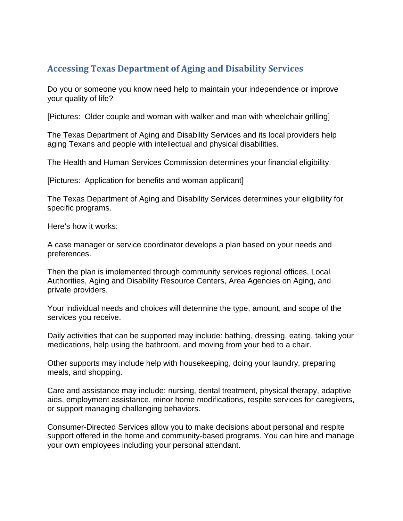## **Accessing Texas Department of Aging and Disability Services**

Do you or someone you know need help to maintain your independence or improve your quality of life?

[Pictures: Older couple and woman with walker and man with wheelchair grilling]

The Texas Department of Aging and Disability Services and its local providers help aging Texans and people with intellectual and physical disabilities.

The Health and Human Services Commission determines your financial eligibility.

[Pictures: Application for benefits and woman applicant]

The Texas Department of Aging and Disability Services determines your eligibility for specific programs.

Here's how it works:

A case manager or service coordinator develops a plan based on your needs and preferences.

Then the plan is implemented through community services regional offices, Local Authorities, Aging and Disability Resource Centers, Area Agencies on Aging, and private providers.

Your individual needs and choices will determine the type, amount, and scope of the services you receive.

Daily activities that can be supported may include: bathing, dressing, eating, taking your medications, help using the bathroom, and moving from your bed to a chair.

Other supports may include help with housekeeping, doing your laundry, preparing meals, and shopping.

Care and assistance may include: nursing, dental treatment, physical therapy, adaptive aids, employment assistance, minor home modifications, respite services for caregivers, or support managing challenging behaviors.

Consumer-Directed Services allow you to make decisions about personal and respite support offered in the home and community-based programs. You can hire and manage your own employees including your personal attendant.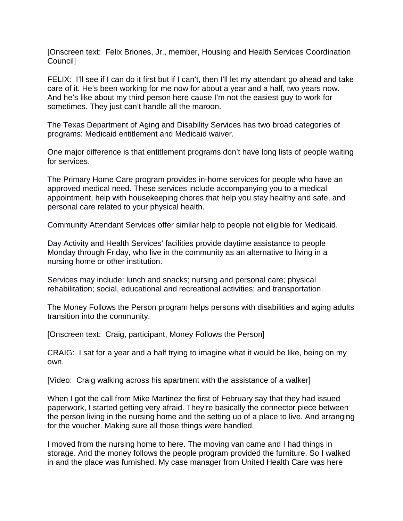[Onscreen text: Felix Briones, Jr., member, Housing and Health Services Coordination Council]

FELIX: I'll see if I can do it first but if I can't, then I'll let my attendant go ahead and take care of it. He's been working for me now for about a year and a half, two years now. And he's like about my third person here cause I'm not the easiest guy to work for sometimes. They just can't handle all the maroon.

The Texas Department of Aging and Disability Services has two broad categories of programs: Medicaid entitlement and Medicaid waiver.

One major difference is that entitlement programs don't have long lists of people waiting for services.

The Primary Home Care program provides in-home services for people who have an approved medical need. These services include accompanying you to a medical appointment, help with housekeeping chores that help you stay healthy and safe, and personal care related to your physical health.

Community Attendant Services offer similar help to people not eligible for Medicaid.

Day Activity and Health Services' facilities provide daytime assistance to people Monday through Friday, who live in the community as an alternative to living in a nursing home or other institution.

Services may include: lunch and snacks; nursing and personal care; physical rehabilitation; social, educational and recreational activities; and transportation.

The Money Follows the Person program helps persons with disabilities and aging adults transition into the community.

[Onscreen text: Craig, participant, Money Follows the Person]

CRAIG: I sat for a year and a half trying to imagine what it would be like, being on my own.

[Video: Craig walking across his apartment with the assistance of a walker]

When I got the call from Mike Martinez the first of February say that they had issued paperwork, I started getting very afraid. They're basically the connector piece between the person living in the nursing home and the setting up of a place to live. And arranging for the voucher. Making sure all those things were handled.

I moved from the nursing home to here. The moving van came and I had things in storage. And the money follows the people program provided the furniture. So I walked in and the place was furnished. My case manager from United Health Care was here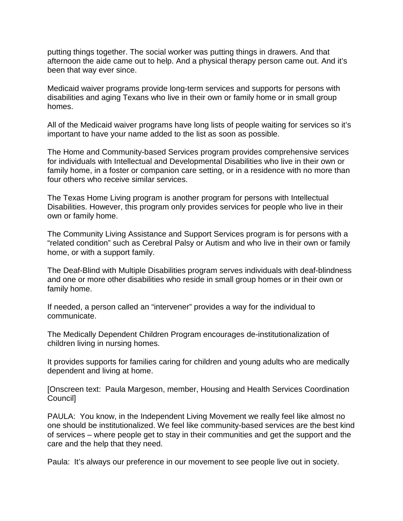putting things together. The social worker was putting things in drawers. And that afternoon the aide came out to help. And a physical therapy person came out. And it's been that way ever since.

Medicaid waiver programs provide long-term services and supports for persons with disabilities and aging Texans who live in their own or family home or in small group homes.

All of the Medicaid waiver programs have long lists of people waiting for services so it's important to have your name added to the list as soon as possible.

The Home and Community-based Services program provides comprehensive services for individuals with Intellectual and Developmental Disabilities who live in their own or family home, in a foster or companion care setting, or in a residence with no more than four others who receive similar services.

The Texas Home Living program is another program for persons with Intellectual Disabilities. However, this program only provides services for people who live in their own or family home.

The Community Living Assistance and Support Services program is for persons with a "related condition" such as Cerebral Palsy or Autism and who live in their own or family home, or with a support family.

The Deaf-Blind with Multiple Disabilities program serves individuals with deaf-blindness and one or more other disabilities who reside in small group homes or in their own or family home.

If needed, a person called an "intervener" provides a way for the individual to communicate.

The Medically Dependent Children Program encourages de-institutionalization of children living in nursing homes.

It provides supports for families caring for children and young adults who are medically dependent and living at home.

[Onscreen text: Paula Margeson, member, Housing and Health Services Coordination Council]

PAULA: You know, in the Independent Living Movement we really feel like almost no one should be institutionalized. We feel like community-based services are the best kind of services – where people get to stay in their communities and get the support and the care and the help that they need.

Paula: It's always our preference in our movement to see people live out in society.